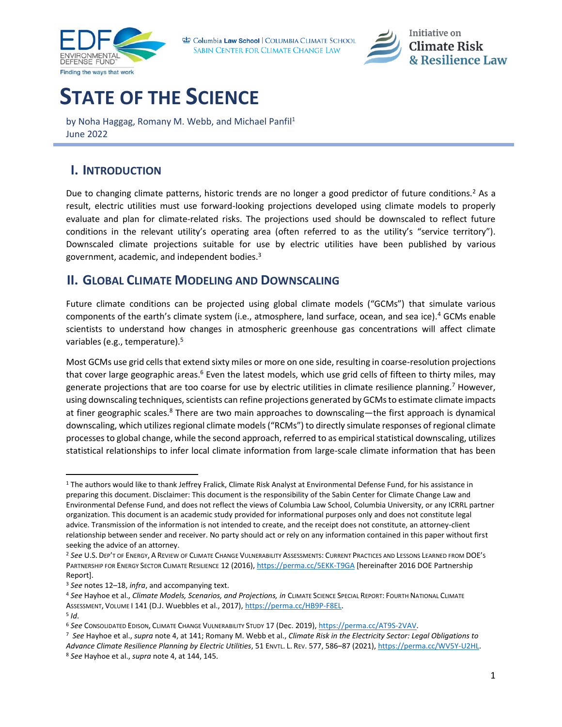

Columbia Law School | COLUMBIA CLIMATE SCHOOL SABIN CENTER FOR CLIMATE CHANGE LAW

<span id="page-0-1"></span><span id="page-0-0"></span>

## **STATE OF THE SCIENCE**

by Noha Haggag, Romany M. Webb, and Michael Panfil<sup>1</sup> June 2022

## **I. INTRODUCTION**

Due to changing climate patterns, historic trends are no longer a good predictor of future conditions.<sup>2</sup> As a result, electric utilities must use forward-looking projections developed using climate models to properly evaluate and plan for climate-related risks. The projections used should be downscaled to reflect future conditions in the relevant utility's operating area (often referred to as the utility's "service territory"). Downscaled climate projections suitable for use by electric utilities have been published by various government, academic, and independent bodies.<sup>3</sup>

## **II. GLOBAL CLIMATE MODELING AND DOWNSCALING**

Future climate conditions can be projected using global climate models ("GCMs") that simulate various components of the earth's climate system (i.e., atmosphere, land surface, ocean, and sea ice).<sup>4</sup> GCMs enable scientists to understand how changes in atmospheric greenhouse gas concentrations will affect climate variables (e.g., temperature).<sup>5</sup>

<span id="page-0-2"></span>Most GCMs use grid cells that extend sixty miles or more on one side, resulting in coarse-resolution projections that cover large geographic areas.<sup>6</sup> Even the latest models, which use grid cells of fifteen to thirty miles, may generate projections that are too coarse for use by electric utilities in climate resilience planning.<sup>7</sup> However, using downscaling techniques, scientists can refine projections generated by GCMs to estimate climate impacts at finer geographic scales.<sup>8</sup> There are two main approaches to downscaling—the first approach is dynamical downscaling, which utilizes regional climate models ("RCMs") to directly simulate responses of regional climate processes to global change, while the second approach, referred to as empirical statistical downscaling, utilizes statistical relationships to infer local climate information from large-scale climate information that has been

<sup>&</sup>lt;sup>1</sup> The authors would like to thank Jeffrey Fralick, Climate Risk Analyst at Environmental Defense Fund, for his assistance in preparing this document. Disclaimer: This document is the responsibility of the Sabin Center for Climate Change Law and Environmental Defense Fund, and does not reflect the views of Columbia Law School, Columbia University, or any ICRRL partner organization. This document is an academic study provided for informational purposes only and does not constitute legal advice. Transmission of the information is not intended to create, and the receipt does not constitute, an attorney-client relationship between sender and receiver. No party should act or rely on any information contained in this paper without first seeking the advice of an attorney.

<sup>2</sup> *See* U.S. DEP'T OF ENERGY, A REVIEW OF CLIMATE CHANGE VULNERABILITY ASSESSMENTS: CURRENT PRACTICES AND LESSONS LEARNED FROM DOE'S PARTNERSHIP FOR ENERGY SECTOR CLIMATE RESILIENCE 12 (2016),<https://perma.cc/5EKK-T9GA> [hereinafter 2016 DOE Partnership Report].

<sup>3</sup> *See* note[s 12](#page-1-0)–[18,](#page-1-1) *infra*, and accompanying text.

<sup>4</sup> *See* Hayhoe et al., *Climate Models, Scenarios, and Projections, in* CLIMATE SCIENCE SPECIAL REPORT: FOURTH NATIONAL CLIMATE ASSESSMENT, VOLUME I 141 (D.J. Wuebbles et al., 2017)[, https://perma.cc/HB9P-F8EL.](https://perma.cc/HB9P-F8EL)

<sup>5</sup> *Id*.

<sup>6</sup> *See* CONSOLIDATED EDISON, CLIMATE CHANGE VULNERABILITY STUDY 17 (Dec. 2019)[, https://perma.cc/AT9S-2VAV.](https://perma.cc/AT9S-2VAV)

<sup>7</sup> *See* Hayhoe et al., *supra* note [4,](#page-0-0) at 141; Romany M. Webb et al., *Climate Risk in the Electricity Sector: Legal Obligations to Advance Climate Resilience Planning by Electric Utilities*, 51 ENVTL. L. REV. 577, 586–87 (2021), [https://perma.cc/WV5Y-U2HL.](https://perma.cc/WV5Y-U2HL)

<sup>8</sup> *See* Hayhoe et al., *supra* not[e 4,](#page-0-0) at 144, 145.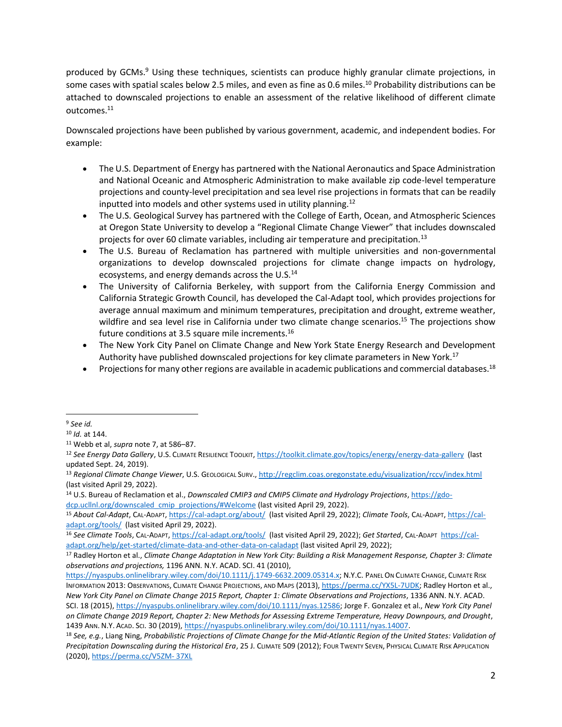produced by GCMs.<sup>9</sup> Using these techniques, scientists can produce highly granular climate projections, in some cases with spatial scales below 2.5 miles, and even as fine as 0.6 miles.<sup>10</sup> Probability distributions can be attached to downscaled projections to enable an assessment of the relative likelihood of different climate outcomes.<sup>11</sup>

Downscaled projections have been published by various government, academic, and independent bodies. For example:

- The U.S. Department of Energy has partnered with the National Aeronautics and Space Administration and National Oceanic and Atmospheric Administration to make available zip code-level temperature projections and county-level precipitation and sea level rise projections in formats that can be readily inputted into models and other systems used in utility planning.<sup>12</sup>
- <span id="page-1-0"></span>• The U.S. Geological Survey has partnered with the College of Earth, Ocean, and Atmospheric Sciences at Oregon State University to develop a "Regional Climate Change Viewer" that includes downscaled projects for over 60 climate variables, including air temperature and precipitation.<sup>13</sup>
- The U.S. Bureau of Reclamation has partnered with multiple universities and non-governmental organizations to develop downscaled projections for climate change impacts on hydrology, ecosystems, and energy demands across the U.S.<sup>14</sup>
- The University of California Berkeley, with support from the California Energy Commission and California Strategic Growth Council, has developed the Cal-Adapt tool, which provides projections for average annual maximum and minimum temperatures, precipitation and drought, extreme weather, wildfire and sea level rise in California under two climate change scenarios.<sup>15</sup> The projections show future conditions at 3.5 square mile increments.<sup>16</sup>
- The New York City Panel on Climate Change and New York State Energy Research and Development Authority have published downscaled projections for key climate parameters in New York.<sup>17</sup>
- <span id="page-1-1"></span>• Projections for many other regions are available in academic publications and commercial databases.<sup>18</sup>

<sup>9</sup> *See id.*

<sup>10</sup> *Id.* at 144.

<sup>11</sup> Webb et al, *supra* note [7,](#page-0-1) at 586–87.

<sup>12</sup> *See Energy Data Gallery*, U.S. CLIMATE RESILIENCE TOOLKIT[, https://toolkit.climate.gov/topics/energy/energy-data-gallery](https://toolkit.climate.gov/topics/energy/energy-data-gallery) (last updated Sept. 24, 2019).

<sup>13</sup> *Regional Climate Change Viewer*, U.S. GEOLOGICAL SURV.[, http://regclim.coas.oregonstate.edu/visualization/rccv/index.html](http://regclim.coas.oregonstate.edu/visualization/rccv/index.html) (last visited April 29, 2022).

<sup>14</sup> U.S. Bureau of Reclamation et al., *Downscaled CMIP3 and CMIP5 Climate and Hydrology Projections*[, https://gdo](https://gdo-dcp.ucllnl.org/downscaled_cmip_projections/#Welcome)[dcp.ucllnl.org/downscaled\\_cmip\\_projections/#Welcome](https://gdo-dcp.ucllnl.org/downscaled_cmip_projections/#Welcome) (last visited April 29, 2022).

<sup>15</sup> *About Cal-Adapt*, CAL-ADAPT[, https://cal-adapt.org/about/](https://cal-adapt.org/about/) (last visited April 29, 2022); *Climate Tools*, CAL-ADAPT, [https://cal](https://cal-adapt.org/tools/)[adapt.org/tools/](https://cal-adapt.org/tools/) (last visited April 29, 2022).

<sup>16</sup> *See Climate Tools*, CAL-ADAPT[, https://cal-adapt.org/tools/](https://cal-adapt.org/tools/) (last visited April 29, 2022); *Get Started*, CAL-ADAPT [https://cal](https://cal-adapt.org/help/get-started/climate-data-and-other-data-on-caladapt)[adapt.org/help/get-started/climate-data-and-other-data-on-caladapt](https://cal-adapt.org/help/get-started/climate-data-and-other-data-on-caladapt) (last visited April 29, 2022);

<sup>17</sup> Radley Horton et al., *Climate Change Adaptation in New York City: Building a Risk Management Response, Chapter 3: Climate observations and projections,* 1196 ANN. N.Y. ACAD. SCI. 41 (2010),

[https://nyaspubs.onlinelibrary.wiley.com/doi/10.1111/j.1749-6632.2009.05314.x;](https://nyaspubs.onlinelibrary.wiley.com/doi/10.1111/j.1749-6632.2009.05314.x) N.Y.C. PANEL ON CLIMATE CHANGE, CLIMATE RISK INFORMATION 2013: OBSERVATIONS, CLIMATE CHANGE PROJECTIONS, AND MAPS (2013)[, https://perma.cc/YX5L-7UDK;](https://perma.cc/YX5L-7UDK) Radley Horton et al.,

*New York City Panel on Climate Change 2015 Report, Chapter 1: Climate Observations and Projections*, 1336 ANN. N.Y. ACAD. SCI. 18 (2015)[, https://nyaspubs.onlinelibrary.wiley.com/doi/10.1111/nyas.12586;](https://nyaspubs.onlinelibrary.wiley.com/doi/10.1111/nyas.12586) Jorge F. Gonzalez et al., *New York City Panel on Climate Change 2019 Report, Chapter 2: New Methods for Assessing Extreme Temperature, Heavy Downpours, and Drought*, 1439 ANN. N.Y. ACAD. SCI. 30 (2019), [https://nyaspubs.onlinelibrary.wiley.com/doi/10.1111/nyas.14007.](https://nyaspubs.onlinelibrary.wiley.com/doi/10.1111/nyas.14007)

<sup>18</sup> *See, e.g.*, Liang Ning, *Probabilistic Projections of Climate Change for the Mid-Atlantic Region of the United States: Validation of Precipitation Downscaling during the Historical Era*, 25 J. CLIMATE 509 (2012); FOUR TWENTY SEVEN, PHYSICAL CLIMATE RISK APPLICATION (2020)[, https://perma.cc/V5ZM-](https://perma.cc/V5ZM-%2037XL) 37XL